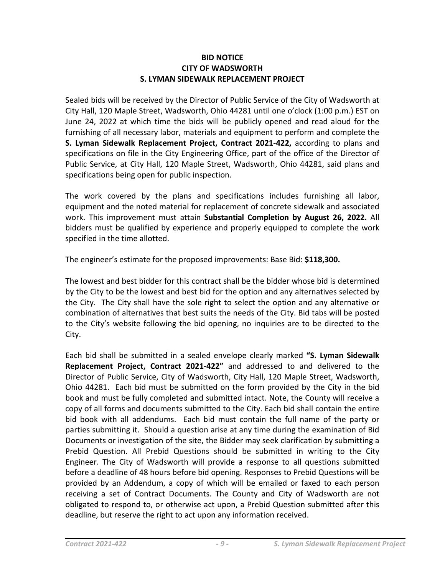## **BID NOTICE CITY OF WADSWORTH S. LYMAN SIDEWALK REPLACEMENT PROJECT**

Sealed bids will be received by the Director of Public Service of the City of Wadsworth at City Hall, 120 Maple Street, Wadsworth, Ohio 44281 until one o'clock (1:00 p.m.) EST on June 24, 2022 at which time the bids will be publicly opened and read aloud for the furnishing of all necessary labor, materials and equipment to perform and complete the **S. Lyman Sidewalk Replacement Project, Contract 2021-422,** according to plans and specifications on file in the City Engineering Office, part of the office of the Director of Public Service, at City Hall, 120 Maple Street, Wadsworth, Ohio 44281, said plans and specifications being open for public inspection.

The work covered by the plans and specifications includes furnishing all labor, equipment and the noted material for replacement of concrete sidewalk and associated work. This improvement must attain **Substantial Completion by August 26, 2022.** All bidders must be qualified by experience and properly equipped to complete the work specified in the time allotted.

The engineer's estimate for the proposed improvements: Base Bid: **\$118,300.**

The lowest and best bidder for this contract shall be the bidder whose bid is determined by the City to be the lowest and best bid for the option and any alternatives selected by the City. The City shall have the sole right to select the option and any alternative or combination of alternatives that best suits the needs of the City. Bid tabs will be posted to the City's website following the bid opening, no inquiries are to be directed to the City.

Each bid shall be submitted in a sealed envelope clearly marked **"S. Lyman Sidewalk Replacement Project, Contract 2021-422"** and addressed to and delivered to the Director of Public Service, City of Wadsworth, City Hall, 120 Maple Street, Wadsworth, Ohio 44281. Each bid must be submitted on the form provided by the City in the bid book and must be fully completed and submitted intact. Note, the County will receive a copy of all forms and documents submitted to the City. Each bid shall contain the entire bid book with all addendums. Each bid must contain the full name of the party or parties submitting it. Should a question arise at any time during the examination of Bid Documents or investigation of the site, the Bidder may seek clarification by submitting a Prebid Question. All Prebid Questions should be submitted in writing to the City Engineer. The City of Wadsworth will provide a response to all questions submitted before a deadline of 48 hours before bid opening. Responses to Prebid Questions will be provided by an Addendum, a copy of which will be emailed or faxed to each person receiving a set of Contract Documents. The County and City of Wadsworth are not obligated to respond to, or otherwise act upon, a Prebid Question submitted after this deadline, but reserve the right to act upon any information received.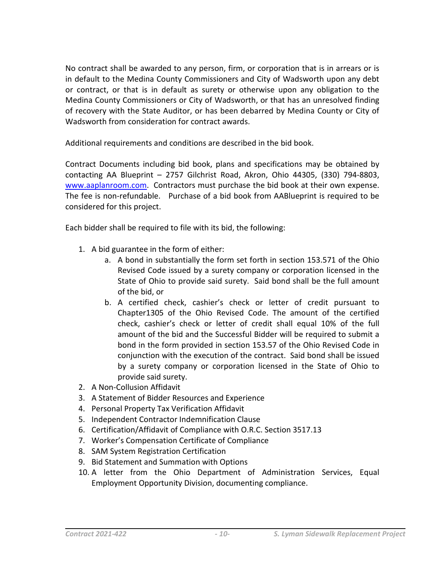No contract shall be awarded to any person, firm, or corporation that is in arrears or is in default to the Medina County Commissioners and City of Wadsworth upon any debt or contract, or that is in default as surety or otherwise upon any obligation to the Medina County Commissioners or City of Wadsworth, or that has an unresolved finding of recovery with the State Auditor, or has been debarred by Medina County or City of Wadsworth from consideration for contract awards.

Additional requirements and conditions are described in the bid book.

Contract Documents including bid book, plans and specifications may be obtained by contacting AA Blueprint – 2757 Gilchrist Road, Akron, Ohio 44305, (330) 794-8803, [www.aaplanroom.com.](http://www.aaplanroom.com/) Contractors must purchase the bid book at their own expense. The fee is non-refundable. Purchase of a bid book from AABlueprint is required to be considered for this project.

Each bidder shall be required to file with its bid, the following:

- 1. A bid guarantee in the form of either:
	- a. A bond in substantially the form set forth in section 153.571 of the Ohio Revised Code issued by a surety company or corporation licensed in the State of Ohio to provide said surety. Said bond shall be the full amount of the bid, or
	- b. A certified check, cashier's check or letter of credit pursuant to Chapter1305 of the Ohio Revised Code. The amount of the certified check, cashier's check or letter of credit shall equal 10% of the full amount of the bid and the Successful Bidder will be required to submit a bond in the form provided in section 153.57 of the Ohio Revised Code in conjunction with the execution of the contract. Said bond shall be issued by a surety company or corporation licensed in the State of Ohio to provide said surety.
- 2. A Non-Collusion Affidavit
- 3. A Statement of Bidder Resources and Experience
- 4. Personal Property Tax Verification Affidavit
- 5. Independent Contractor Indemnification Clause
- 6. Certification/Affidavit of Compliance with O.R.C. Section 3517.13
- 7. Worker's Compensation Certificate of Compliance
- 8. SAM System Registration Certification
- 9. Bid Statement and Summation with Options
- 10. A letter from the Ohio Department of Administration Services, Equal Employment Opportunity Division, documenting compliance.